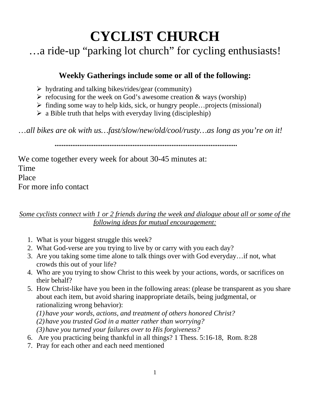# **CYCLIST CHURCH**

…a ride-up "parking lot church" for cycling enthusiasts!

## **Weekly Gatherings include some or all of the following:**

- $\triangleright$  hydrating and talking bikes/rides/gear (community)
- $\triangleright$  refocusing for the week on God's awesome creation & ways (worship)
- $\triangleright$  finding some way to help kids, sick, or hungry people...projects (missional)
- $\triangleright$  a Bible truth that helps with everyday living (discipleship)

…*all bikes are ok with us…fast/slow/new/old/cool/rusty…as long as you're on it!* 

**.......................................................................................................** 

We come together every week for about 30-45 minutes at: Time Place For more info contact

*Some cyclists connect with 1 or 2 friends during the week and dialogue about all or some of the following ideas for mutual encouragement:* 

- 1. What is your biggest struggle this week?
- 2. What God-verse are you trying to live by or carry with you each day?
- 3. Are you taking some time alone to talk things over with God everyday…if not, what crowds this out of your life?
- 4. Who are you trying to show Christ to this week by your actions, words, or sacrifices on their behalf?
- 5. How Christ-like have you been in the following areas: (please be transparent as you share about each item, but avoid sharing inappropriate details, being judgmental, or rationalizing wrong behavior):
	- *(1) have your words, actions, and treatment of others honored Christ?*
	- *(2) have you trusted God in a matter rather than worrying?*
	- *(3) have you turned your failures over to His forgiveness?*
- 6. Are you practicing being thankful in all things? 1 Thess. 5:16-18, Rom. 8:28
- 7. Pray for each other and each need mentioned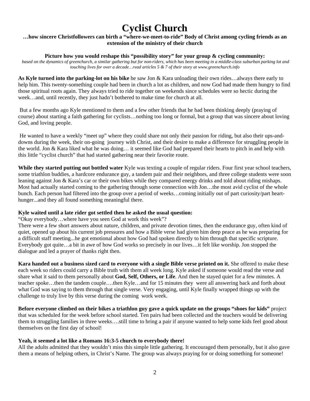# **Cyclist Church**

#### **…how sincere Christfollowers can birth a "where-we-meet-to-ride" Body of Christ among cycling friends as an extension of the ministry of their church**

#### Picture how you would reshape this "possibility story" for your group  $\&$  cycling community:

*based on the dynamics of greenchurch, a similar gathering but for non-riders, which has been meeting in a middle-class suburban parking lot and touching lives for over a decade…read articles 5 & 7 of their story at www.greenchurch.info* 

**As Kyle turned into the parking-lot on his bike** he saw Jon & Kara unloading their own rides…always there early to help him. This twenty-something couple had been in church a lot as children, and now God had made them hungry to find those spiritual roots again. They always tried to ride together on weekends since schedules were so hectic during the week…and, until recently, they just hadn't bothered to make time for church at all.

 But a few months ago Kyle mentioned to them and a few other friends that he had been thinking deeply (praying of course) about starting a faith gathering for cyclists…nothing too long or formal, but a group that was sincere about loving God, and loving people.

 He wanted to have a weekly "meet up" where they could share not only their passion for riding, but also their ups-anddowns during the week, their on-going journey with Christ, and their desire to make a difference for struggling people in the world. Jon & Kara liked what he was doing… it seemed like God had prepared their hearts to pitch in and help with this little "cyclist church" that had started gathering near their favorite route.

**While they started putting out bottled water** Kyle was texting a couple of regular riders. Four first year school teachers, some triathlon buddies, a hardcore endurance guy, a tandem pair and their neighbors, and three college students were soon leaning against Jon & Kara's car or their own bikes while they compared energy drinks and told about riding mishaps. Most had actually started coming to the gathering through some connection with Jon…the most avid cyclist of the whole bunch. Each person had filtered into the group over a period of weeks…coming initially out of part curiosity/part hearthunger...and they all found something meaningful there.

#### **Kyle waited until a late rider got settled then he asked the usual question:**

"Okay everybody…where have you seen God at work this week"?

There were a few short answers about nature, children, and private devotion times, then the endurance guy, often kind of quiet, opened up about his current job pressures and how a Bible verse had given him deep peace as he was preparing for a difficult staff meeting...he got emotional about how God had spoken directly to him through that specific scripture. Everybody got quite…a bit in awe of how God works so precisely in our lives…it felt like worship. Jon stopped the dialogue and led a prayer of thanks right then.

**Kara handed out a business sized card to everyone with a single Bible verse printed on it.** She offered to make these each week so riders could carry a Bible truth with them all week long. Kyle asked if someone would read the verse and share what it said to them personally about **God, Self, Others, or Life**. And then he stayed quiet for a few minutes. A teacher spoke…then the tandem couple….then Kyle…and for 15 minutes they were all answering back and forth about what God was saying to them through that single verse. Very engaging, until Kyle finally wrapped things up with the challenge to truly live by this verse during the coming work week.

**Before everyone climbed on their bikes a triathlon guy gave a quick update on the groups "shoes for kids"** project that was scheduled for the week before school started. Ten pairs had been collected and the teachers would be delivering them to struggling families in three weeks….still time to bring a pair if anyone wanted to help some kids feel good about themselves on the first day of school!

#### **Yeah, it seemed a lot like a Romans 16:3-5 church to everybody there!**

All the adults admitted that they wouldn't miss this simple little gathering. It encouraged them personally, but it also gave them a means of helping others, in Christ's Name. The group was always praying for or doing something for someone!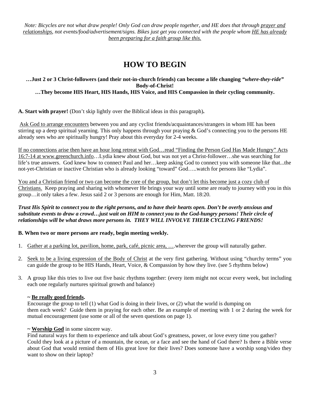*Note: Bicycles are not what draw people! Only God can draw people together, and HE does that through prayer and relationships, not events/food/advertisement/signs. Bikes just get you connected with the people whom HE has already been preparing for a faith group like this.* 

### **HOW TO BEGIN**

#### **…Just 2 or 3 Christ-followers (and their not-in-church friends) can become a life changing** *"where-they-ride"* **Body-of-Christ! …They become HIS Heart, HIS Hands, HIS Voice, and HIS Compassion in their cycling community.**

**A. Start with prayer!** (Don't skip lightly over the Biblical ideas in this paragraph)**.** 

Ask God to arrange encounters between you and any cyclist friends/acquaintances/strangers in whom HE has been stirring up a deep spiritual yearning. This only happens through your praying  $\&$  God's connecting you to the persons HE already sees who are spiritually hungry! Pray about this everyday for 2-4 weeks.

If no connections arise then have an hour long retreat with God…read "Finding the Person God Has Made Hungry" Acts 16:7-14 at www.greenchurch.info…Lydia knew about God, but was not yet a Christ-follower…she was searching for life's true answers. God knew how to connect Paul and her…keep asking God to connect you with someone like that...the not-yet-Christian or inactive Christian who is already looking "toward" God…..watch for persons like "Lydia".

You and a Christian friend or two can become the core of the group, but don't let this become just a cozy club of Christians. Keep praying and sharing with whomever He brings your way until some are ready to journey with you in this group…it only takes a few. Jesus said 2 or 3 persons are enough for Him, Matt. 18:20.

*Trust His Spirit to connect you to the right persons, and to have their hearts open. Don't be overly anxious and substitute events to draw a crowd…just wait on HIM to connect you to the God-hungry persons! Their circle of relationships will be what draws more persons in. THEY WILL INVOLVE THEIR CYCLING FRIENDS!* 

#### **B. When two or more persons are ready, begin meeting weekly.**

- 1. Gather at a parking lot, pavilion, home, park, café, picnic area, ….wherever the group will naturally gather.
- 2. Seek to be a living expression of the Body of Christ at the very first gathering. Without using "churchy terms" you can guide the group to be HIS Hands, Heart, Voice, & Compassion by how they live. (see 5 rhythms below)
- 3. A group like this tries to live out five basic rhythms together: (every item might not occur every week, but including each one regularly nurtures spiritual growth and balance)

#### **~ Be really good friends.**

Encourage the group to tell (1) what God is doing in their lives, or (2) what the world is dumping on them each week? Guide them in praying for each other. Be an example of meeting with 1 or 2 during the week for mutual encouragement (use some or all of the seven questions on page 1).

#### **~ Worship God** in some sincere way.

Find natural ways for them to experience and talk about God's greatness, power, or love every time you gather? Could they look at a picture of a mountain, the ocean, or a face and see the hand of God there? Is there a Bible verse about God that would remind them of His great love for their lives? Does someone have a worship song/video they want to show on their laptop?